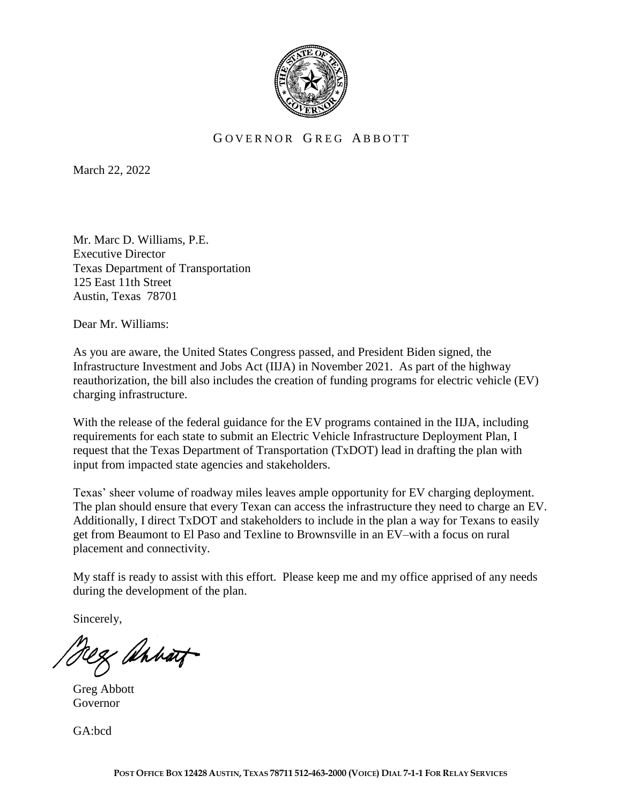

## GOVERNOR GREG ABBOTT

March 22, 2022

Mr. Marc D. Williams, P.E. Executive Director Texas Department of Transportation 125 East 11th Street Austin, Texas 78701

Dear Mr. Williams:

As you are aware, the United States Congress passed, and President Biden signed, the Infrastructure Investment and Jobs Act (IIJA) in November 2021. As part of the highway reauthorization, the bill also includes the creation of funding programs for electric vehicle (EV) charging infrastructure.

With the release of the federal guidance for the EV programs contained in the IIJA, including requirements for each state to submit an Electric Vehicle Infrastructure Deployment Plan, I request that the Texas Department of Transportation (TxDOT) lead in drafting the plan with input from impacted state agencies and stakeholders.

Texas' sheer volume of roadway miles leaves ample opportunity for EV charging deployment. The plan should ensure that every Texan can access the infrastructure they need to charge an EV. Additionally, I direct TxDOT and stakeholders to include in the plan a way for Texans to easily get from Beaumont to El Paso and Texline to Brownsville in an EV–with a focus on rural placement and connectivity.

My staff is ready to assist with this effort. Please keep me and my office apprised of any needs during the development of the plan.

Sincerely,

Rez ahhart

Greg Abbott Governor

GA:bcd